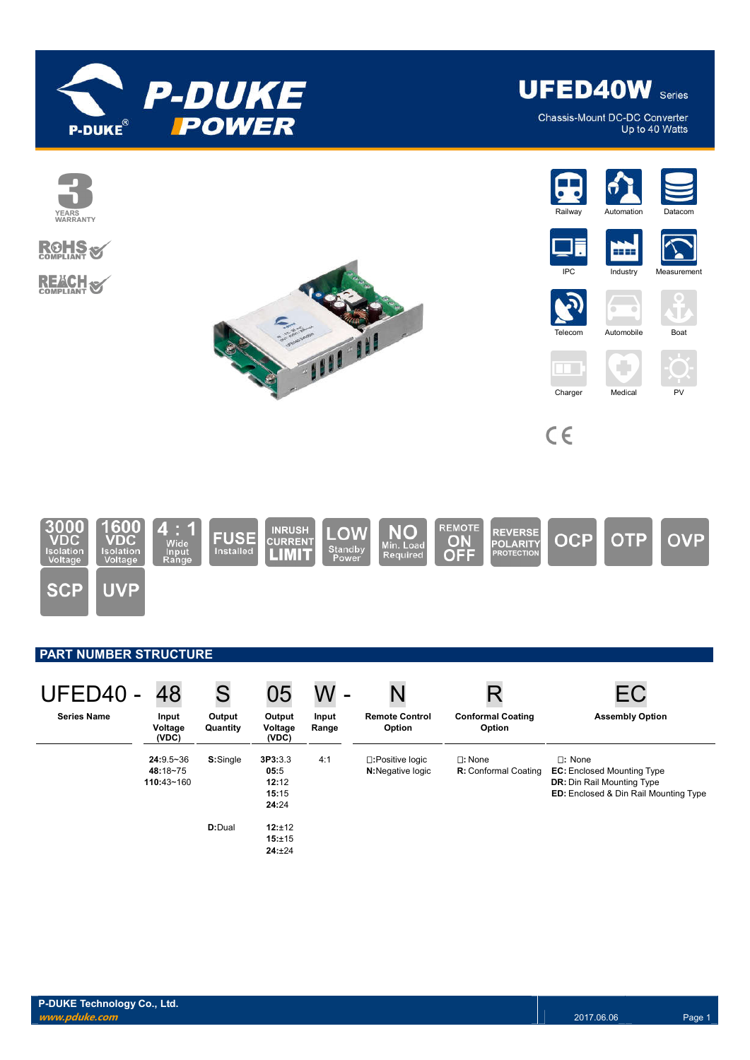

**UFED40W** Series

Chassis-Mount DC-DC Converter Up to 40 Watts



| UFED40 -           | 48                                      | S                  | 05                                         |                |                                      |                                                 |                                                                                                                                  |
|--------------------|-----------------------------------------|--------------------|--------------------------------------------|----------------|--------------------------------------|-------------------------------------------------|----------------------------------------------------------------------------------------------------------------------------------|
| <b>Series Name</b> | Input<br>Voltage<br>(VDC)               | Output<br>Quantity | Output<br>Voltage<br>(VDC)                 | Input<br>Range | <b>Remote Control</b><br>Option      | <b>Conformal Coating</b><br>Option              | <b>Assembly Option</b>                                                                                                           |
|                    | $24:9.5 - 36$<br>48:18~75<br>110:43~160 | S:Single           | 3P3:3.3<br>05:5<br>12:12<br>15:15<br>24:24 | 4:1            | □:Positive logic<br>N:Negative logic | $\square$ : None<br><b>R:</b> Conformal Coating | $\Box$ : None<br><b>EC:</b> Enclosed Mounting Type<br><b>DR:</b> Din Rail Mounting Type<br>ED: Enclosed & Din Rail Mounting Type |
|                    |                                         | D:Dual             | 12:±12<br>15:±15<br>24:±24                 |                |                                      |                                                 |                                                                                                                                  |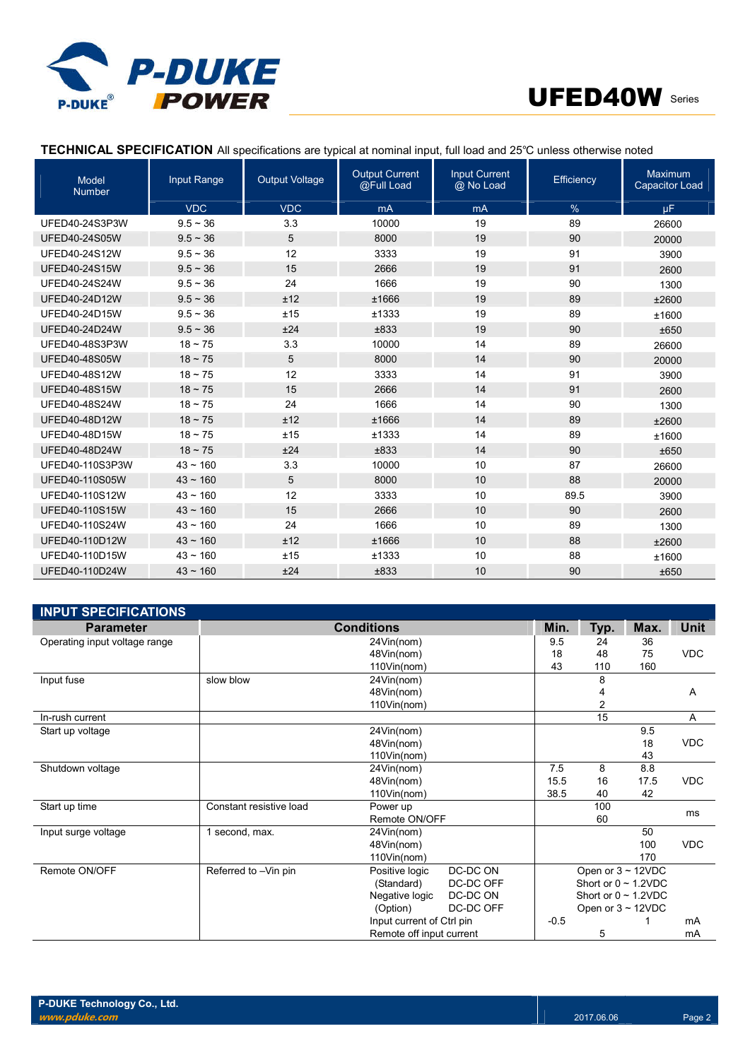



# **TECHNICAL SPECIFICATION** All specifications are typical at nominal input, full load and 25℃ unless otherwise noted

| <b>Model</b><br><b>Number</b> | Input Range   | <b>Output Voltage</b> | <b>Output Current</b><br>@Full Load | <b>Input Current</b><br>@ No Load | Efficiency | Maximum<br><b>Capacitor Load</b> |
|-------------------------------|---------------|-----------------------|-------------------------------------|-----------------------------------|------------|----------------------------------|
|                               | <b>VDC</b>    | <b>VDC</b>            | mA                                  | mA                                | %          | μF                               |
| UFED40-24S3P3W                | $9.5 \sim 36$ | 3.3                   | 10000                               | 19                                | 89         | 26600                            |
| <b>UFED40-24S05W</b>          | $9.5 \sim 36$ | 5                     | 8000                                | 19                                | 90         | 20000                            |
| <b>UFED40-24S12W</b>          | $9.5 - 36$    | 12                    | 3333                                | 19                                | 91         | 3900                             |
| <b>UFED40-24S15W</b>          | $9.5 - 36$    | 15                    | 2666                                | 19                                | 91         | 2600                             |
| <b>UFED40-24S24W</b>          | $9.5 \sim 36$ | 24                    | 1666                                | 19                                | 90         | 1300                             |
| UFED40-24D12W                 | $9.5 \sim 36$ | ±12                   | ±1666                               | 19                                | 89         | ±2600                            |
| UFED40-24D15W                 | $9.5 \sim 36$ | ±15                   | ±1333                               | 19                                | 89         | ±1600                            |
| <b>UFED40-24D24W</b>          | $9.5 \sim 36$ | ±24                   | ±833                                | 19                                | 90         | ±650                             |
| UFED40-48S3P3W                | $18 \sim 75$  | 3.3                   | 10000                               | 14                                | 89         | 26600                            |
| <b>UFED40-48S05W</b>          | $18 \sim 75$  | 5                     | 8000                                | 14                                | 90         | 20000                            |
| UFED40-48S12W                 | $18 \sim 75$  | 12                    | 3333                                | 14                                | 91         | 3900                             |
| <b>UFED40-48S15W</b>          | $18 \sim 75$  | 15                    | 2666                                | 14                                | 91         | 2600                             |
| <b>UFED40-48S24W</b>          | $18 \sim 75$  | 24                    | 1666                                | 14                                | 90         | 1300                             |
| UFED40-48D12W                 | $18 \sim 75$  | ±12                   | ±1666                               | 14                                | 89         | ±2600                            |
| UFED40-48D15W                 | $18 \sim 75$  | ±15                   | ±1333                               | 14                                | 89         | ±1600                            |
| UFED40-48D24W                 | $18 \sim 75$  | ±24                   | ±833                                | 14                                | 90         | ±650                             |
| UFED40-110S3P3W               | $43 \sim 160$ | 3.3                   | 10000                               | 10                                | 87         | 26600                            |
| UFED40-110S05W                | $43 \sim 160$ | 5                     | 8000                                | 10                                | 88         | 20000                            |
| UFED40-110S12W                | $43 \sim 160$ | 12                    | 3333                                | 10                                | 89.5       | 3900                             |
| <b>UFED40-110S15W</b>         | $43 \sim 160$ | 15                    | 2666                                | 10                                | 90         | 2600                             |
| UFED40-110S24W                | $43 \sim 160$ | 24                    | 1666                                | 10                                | 89         | 1300                             |
| UFED40-110D12W                | $43 \sim 160$ | ±12                   | ±1666                               | 10                                | 88         | ±2600                            |
| UFED40-110D15W                | $43 - 160$    | ±15                   | ±1333                               | 10                                | 88         | ±1600                            |
| UFED40-110D24W                | $43 \sim 160$ | ±24                   | ±833                                | 10                                | 90         | ±650                             |

| <b>INPUT SPECIFICATIONS</b>   |                         |                           |           |        |                           |      |             |
|-------------------------------|-------------------------|---------------------------|-----------|--------|---------------------------|------|-------------|
| <b>Parameter</b>              | <b>Conditions</b>       |                           |           |        | Typ.                      | Max. | <b>Unit</b> |
| Operating input voltage range | 24Vin(nom)              |                           |           | 9.5    | 24                        | 36   |             |
|                               |                         | 48Vin(nom)                |           | 18     | 48                        | 75   | <b>VDC</b>  |
|                               |                         | 110Vin(nom)               |           | 43     | 110                       | 160  |             |
| Input fuse                    | slow blow               | 24Vin(nom)                |           |        | 8                         |      |             |
|                               |                         | 48Vin(nom)                |           |        | 4                         |      | A           |
|                               |                         | 110Vin(nom)               |           |        | $\overline{c}$            |      |             |
| In-rush current               |                         |                           |           |        | 15                        |      | Α           |
| Start up voltage              |                         | 24Vin(nom)                |           |        |                           | 9.5  |             |
|                               | 48Vin(nom)              |                           |           |        |                           | 18   | <b>VDC</b>  |
|                               |                         | 110Vin(nom)               |           |        |                           | 43   |             |
| Shutdown voltage              |                         | 24Vin(nom)                |           | 7.5    | 8                         | 8.8  |             |
|                               |                         | 48Vin(nom)                |           | 15.5   | 16                        | 17.5 | <b>VDC</b>  |
|                               |                         | 110Vin(nom)               |           | 38.5   | 40                        | 42   |             |
| Start up time                 | Constant resistive load | Power up                  |           |        | 100                       |      | ms          |
|                               |                         | Remote ON/OFF             |           |        | 60                        |      |             |
| Input surge voltage           | 1 second, max.          | 24Vin(nom)                |           |        |                           | 50   |             |
|                               |                         | 48Vin(nom)                |           |        |                           | 100  | <b>VDC</b>  |
|                               |                         | 110Vin(nom)               |           |        |                           | 170  |             |
| Remote ON/OFF                 | Referred to -Vin pin    | Positive logic            | DC-DC ON  |        | Open or $3 \sim 12$ VDC   |      |             |
|                               |                         | (Standard)                | DC-DC OFF |        | Short or $0 \sim 1.2$ VDC |      |             |
|                               |                         | Negative logic            | DC-DC ON  |        | Short or $0 \sim 1.2$ VDC |      |             |
|                               |                         | (Option)                  | DC-DC OFF |        | Open or $3 \sim 12$ VDC   |      |             |
|                               |                         | Input current of Ctrl pin |           | $-0.5$ |                           |      | mA          |
|                               |                         | Remote off input current  |           |        | 5                         |      | mA          |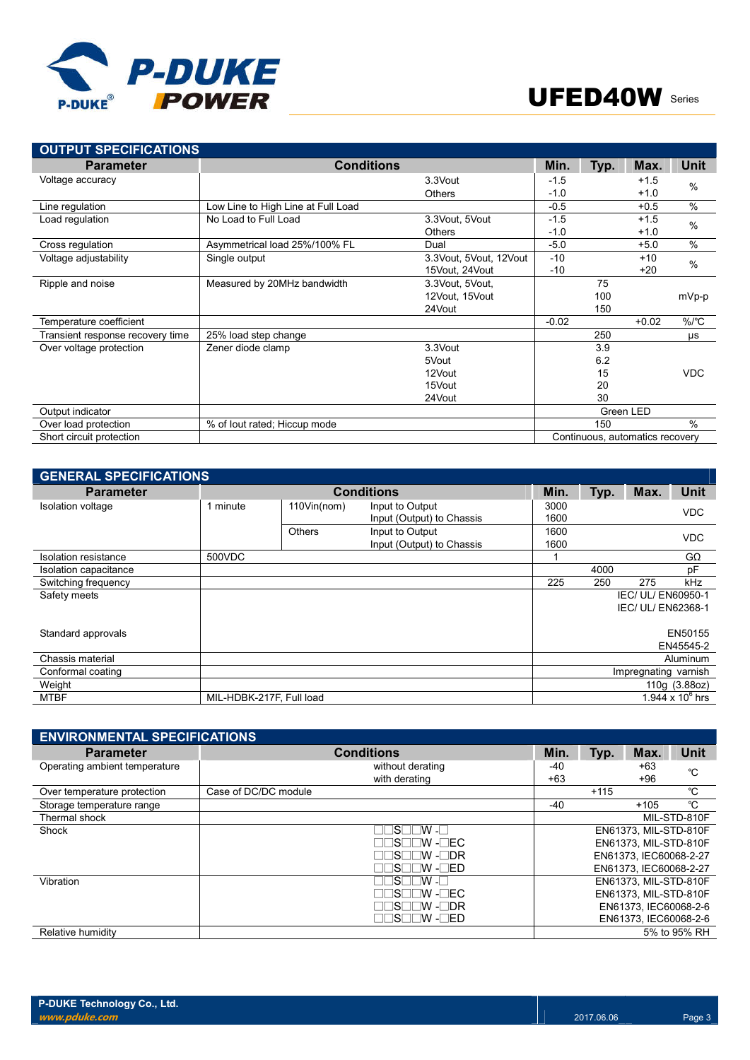



| <b>OUTPUT SPECIFICATIONS</b>     |                                    |                        |         |      |                                 |            |
|----------------------------------|------------------------------------|------------------------|---------|------|---------------------------------|------------|
| <b>Parameter</b>                 | <b>Conditions</b>                  |                        | Min.    | Typ. | Max.                            | Unit       |
| Voltage accuracy                 |                                    | 3.3Vout                | $-1.5$  |      | $+1.5$                          | $\%$       |
|                                  |                                    | Others                 | $-1.0$  |      | $+1.0$                          |            |
| Line regulation                  | Low Line to High Line at Full Load |                        | $-0.5$  |      | $+0.5$                          | $\%$       |
| Load regulation                  | No Load to Full Load               | 3.3Vout, 5Vout         | $-1.5$  |      | $+1.5$                          | $\%$       |
|                                  |                                    | Others                 | $-1.0$  |      | $+1.0$                          |            |
| Cross regulation                 | Asymmetrical load 25%/100% FL      | Dual                   | $-5.0$  |      | $+5.0$                          | $\%$       |
| Voltage adjustability            | Single output                      | 3.3Vout, 5Vout, 12Vout | $-10$   |      | $+10$                           | $\%$       |
|                                  |                                    | 15Vout, 24Vout         | $-10$   |      | $+20$                           |            |
| Ripple and noise                 | Measured by 20MHz bandwidth        | 3.3Vout, 5Vout,        |         | 75   |                                 |            |
|                                  |                                    | 12Vout, 15Vout         |         | 100  |                                 | mVp-p      |
|                                  |                                    | 24Vout                 |         | 150  |                                 |            |
| Temperature coefficient          |                                    |                        | $-0.02$ |      | $+0.02$                         | $\%$ /°C   |
| Transient response recovery time | 25% load step change               |                        |         | 250  |                                 | μs         |
| Over voltage protection          | Zener diode clamp                  | 3.3Vout                |         | 3.9  |                                 |            |
|                                  |                                    | 5Vout                  |         | 6.2  |                                 |            |
|                                  |                                    | 12Vout                 |         | 15   |                                 | <b>VDC</b> |
|                                  |                                    | 15Vout                 |         | 20   |                                 |            |
|                                  |                                    | 24Vout                 |         | 30   |                                 |            |
| Output indicator                 |                                    |                        |         |      | Green LED                       |            |
| Over load protection             | % of lout rated; Hiccup mode       |                        |         | 150  |                                 | $\%$       |
| Short circuit protection         |                                    |                        |         |      | Continuous, automatics recovery |            |

| <b>GENERAL SPECIFICATIONS</b> |                          |             |                                              |              |      |                      |                    |
|-------------------------------|--------------------------|-------------|----------------------------------------------|--------------|------|----------------------|--------------------|
| <b>Parameter</b>              |                          |             | <b>Conditions</b>                            | Min.         | Typ. | Max.                 | <b>Unit</b>        |
| <b>Isolation voltage</b>      | minute                   | 110Vin(nom) | Input to Output<br>Input (Output) to Chassis | 3000<br>1600 |      |                      | <b>VDC</b>         |
|                               |                          | Others      | Input to Output<br>Input (Output) to Chassis | 1600<br>1600 |      |                      | <b>VDC</b>         |
| Isolation resistance          | 500VDC                   |             |                                              |              |      |                      | $G\Omega$          |
| Isolation capacitance         |                          |             |                                              |              | 4000 |                      | pF                 |
| Switching frequency           |                          |             |                                              | 225          | 250  | 275                  | kHz                |
| Safety meets                  |                          |             |                                              |              |      | IEC/ UL/ EN60950-1   |                    |
|                               |                          |             |                                              |              |      | IEC/ UL/ EN62368-1   |                    |
| Standard approvals            |                          |             |                                              |              |      |                      | EN50155            |
|                               |                          |             |                                              |              |      |                      | EN45545-2          |
| Chassis material              |                          |             |                                              |              |      |                      | Aluminum           |
| Conformal coating             |                          |             |                                              |              |      | Impregnating varnish |                    |
| Weight                        |                          |             |                                              |              |      |                      | 110g (3.88oz)      |
| <b>MTBF</b>                   | MIL-HDBK-217F, Full load |             |                                              |              |      |                      | 1.944 x $10^6$ hrs |

| <b>ENVIRONMENTAL SPECIFICATIONS</b> |                      |       |        |                        |              |
|-------------------------------------|----------------------|-------|--------|------------------------|--------------|
| <b>Parameter</b>                    | <b>Conditions</b>    | Min.  | Typ.   | Max.                   | <b>Unit</b>  |
| Operating ambient temperature       | without derating     | -40   |        | $+63$                  | °C           |
|                                     | with derating        | $+63$ |        | +96                    |              |
| Over temperature protection         | Case of DC/DC module |       | $+115$ |                        | °C           |
| Storage temperature range           |                      | $-40$ |        | $+105$                 | °C           |
| Thermal shock                       |                      |       |        |                        | MIL-STD-810F |
| Shock                               | N TIM∍               |       |        | EN61373, MIL-STD-810F  |              |
|                                     | ∃S⊟⊟W -⊟EC           |       |        | EN61373, MIL-STD-810F  |              |
|                                     | ∃S⊟⊟W -⊟DR           |       |        | EN61373, IEC60068-2-27 |              |
|                                     | IS⊟⊟W -⊟ED           |       |        | EN61373. IEC60068-2-27 |              |
| Vibration                           | ∏N - T               |       |        | EN61373, MIL-STD-810F  |              |
|                                     | ∃S⊟⊟W -⊟EC           |       |        | EN61373, MIL-STD-810F  |              |
|                                     | ⊟S⊟⊟W -⊟DR           |       |        | EN61373. IEC60068-2-6  |              |
|                                     | ⊒⊟S⊟⊟W -⊟ED          |       |        | EN61373. IEC60068-2-6  |              |
| Relative humidity                   |                      |       |        |                        | 5% to 95% RH |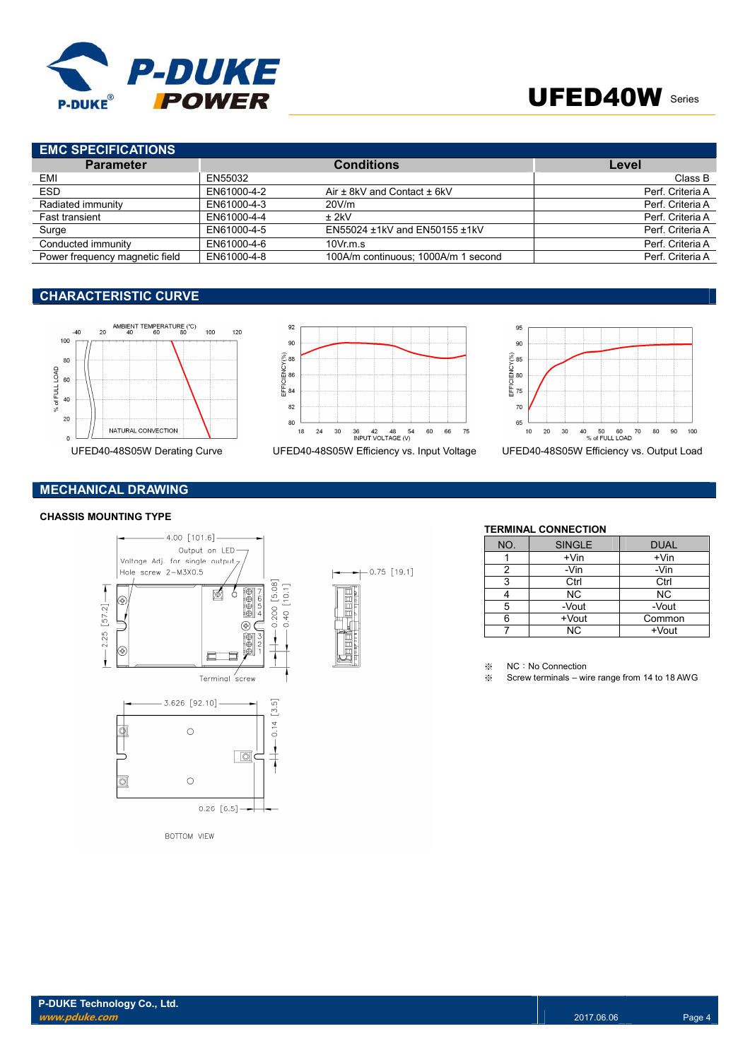

# UFED40W Series

# **EMC SPECIFICATIONS**

| <b>Parameter</b>               |             | <b>Conditions</b>                   | Level            |
|--------------------------------|-------------|-------------------------------------|------------------|
| EMI                            | EN55032     |                                     | Class B          |
| <b>ESD</b>                     | EN61000-4-2 | Air $\pm$ 8kV and Contact $\pm$ 6kV | Perf. Criteria A |
| Radiated immunity              | EN61000-4-3 | 20V/m                               | Perf. Criteria A |
| Fast transient                 | EN61000-4-4 | + 2kV                               | Perf. Criteria A |
| Surge                          | EN61000-4-5 | EN55024 ±1kV and EN50155 ±1kV       | Perf. Criteria A |
| Conducted immunity             | EN61000-4-6 | $10Vr$ m.s.                         | Perf. Criteria A |
| Power frequency magnetic field | EN61000-4-8 | 100A/m continuous; 1000A/m 1 second | Perf. Criteria A |

### **CHARACTERISTIC CURVE**





 $+$  0.75 [19.1]



# **MECHANICAL DRAWING**

### **CHASSIS MOUNTING TYPE**



**BOTTOM VIEW** 



| NO. | <b>SINGLE</b> | <b>DUAL</b> |
|-----|---------------|-------------|
|     | $+V$ in       | $+V$ in     |
| 2   | -Vin          | -Vin        |
| 3   | Ctrl          | Ctrl        |
|     | <b>NC</b>     | <b>NC</b>   |
| 5   | -Vout         | -Vout       |
| 6   | +Vout         | Common      |
|     | <b>NC</b>     | +Vout       |

※ NC:No Connection

※ Screw terminals – wire range from 14 to 18 AWG